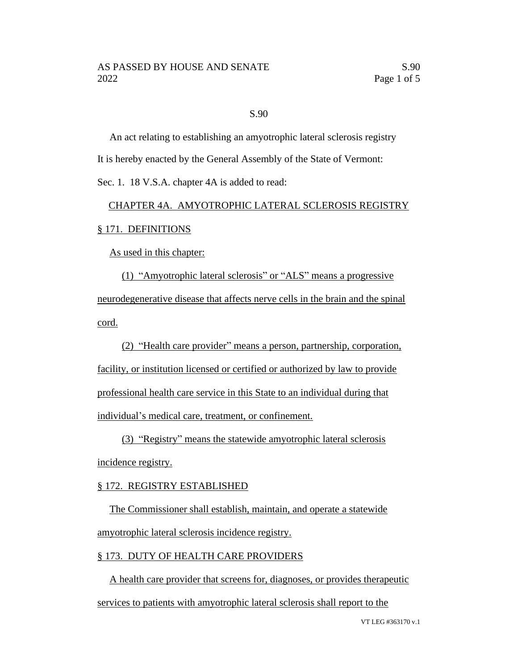#### S.90

An act relating to establishing an amyotrophic lateral sclerosis registry It is hereby enacted by the General Assembly of the State of Vermont:

Sec. 1. 18 V.S.A. chapter 4A is added to read:

# CHAPTER 4A. AMYOTROPHIC LATERAL SCLEROSIS REGISTRY § 171. DEFINITIONS

As used in this chapter:

(1) "Amyotrophic lateral sclerosis" or "ALS" means a progressive neurodegenerative disease that affects nerve cells in the brain and the spinal cord.

(2) "Health care provider" means a person, partnership, corporation, facility, or institution licensed or certified or authorized by law to provide professional health care service in this State to an individual during that individual's medical care, treatment, or confinement.

(3) "Registry" means the statewide amyotrophic lateral sclerosis incidence registry.

# § 172. REGISTRY ESTABLISHED

The Commissioner shall establish, maintain, and operate a statewide amyotrophic lateral sclerosis incidence registry.

# § 173. DUTY OF HEALTH CARE PROVIDERS

A health care provider that screens for, diagnoses, or provides therapeutic services to patients with amyotrophic lateral sclerosis shall report to the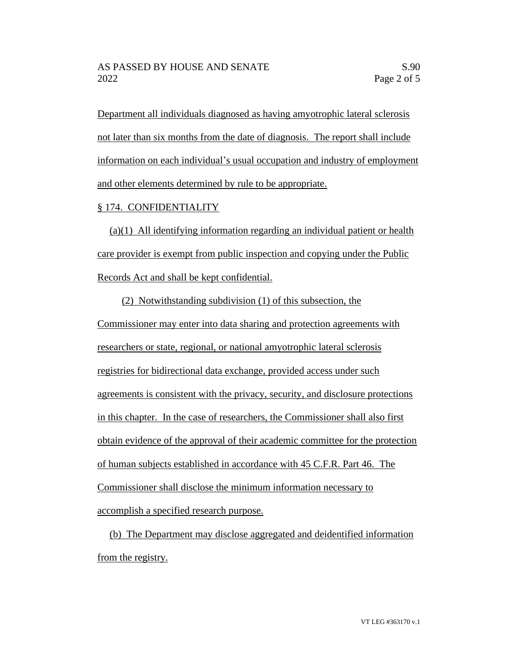Department all individuals diagnosed as having amyotrophic lateral sclerosis not later than six months from the date of diagnosis. The report shall include information on each individual's usual occupation and industry of employment and other elements determined by rule to be appropriate.

# § 174. CONFIDENTIALITY

(a)(1) All identifying information regarding an individual patient or health care provider is exempt from public inspection and copying under the Public Records Act and shall be kept confidential.

(2) Notwithstanding subdivision (1) of this subsection, the Commissioner may enter into data sharing and protection agreements with researchers or state, regional, or national amyotrophic lateral sclerosis registries for bidirectional data exchange, provided access under such agreements is consistent with the privacy, security, and disclosure protections in this chapter. In the case of researchers, the Commissioner shall also first obtain evidence of the approval of their academic committee for the protection of human subjects established in accordance with 45 C.F.R. Part 46. The Commissioner shall disclose the minimum information necessary to accomplish a specified research purpose.

(b) The Department may disclose aggregated and deidentified information from the registry.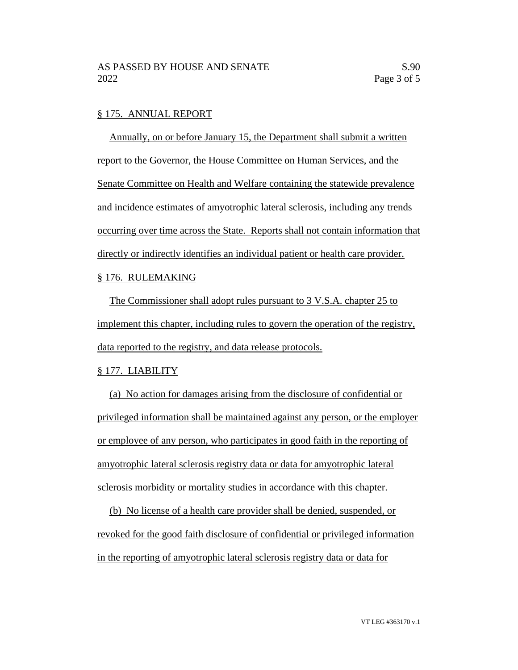#### § 175. ANNUAL REPORT

Annually, on or before January 15, the Department shall submit a written report to the Governor, the House Committee on Human Services, and the Senate Committee on Health and Welfare containing the statewide prevalence and incidence estimates of amyotrophic lateral sclerosis, including any trends occurring over time across the State. Reports shall not contain information that directly or indirectly identifies an individual patient or health care provider.

# § 176. RULEMAKING

The Commissioner shall adopt rules pursuant to 3 V.S.A. chapter 25 to implement this chapter, including rules to govern the operation of the registry, data reported to the registry, and data release protocols.

# § 177. LIABILITY

(a) No action for damages arising from the disclosure of confidential or privileged information shall be maintained against any person, or the employer or employee of any person, who participates in good faith in the reporting of amyotrophic lateral sclerosis registry data or data for amyotrophic lateral sclerosis morbidity or mortality studies in accordance with this chapter.

(b) No license of a health care provider shall be denied, suspended, or revoked for the good faith disclosure of confidential or privileged information in the reporting of amyotrophic lateral sclerosis registry data or data for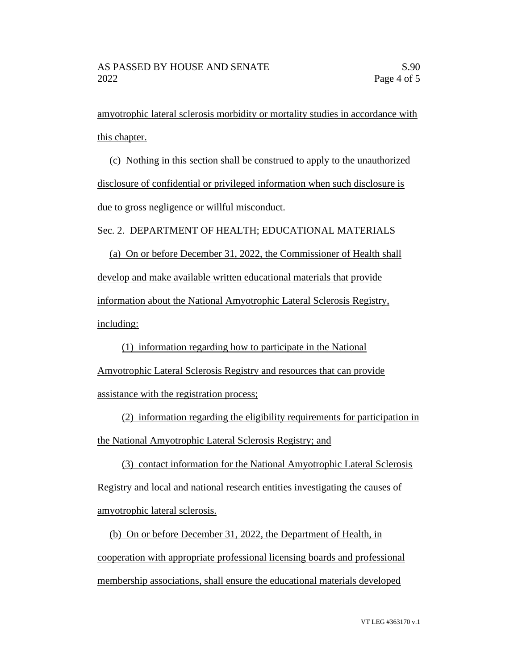amyotrophic lateral sclerosis morbidity or mortality studies in accordance with this chapter.

(c) Nothing in this section shall be construed to apply to the unauthorized disclosure of confidential or privileged information when such disclosure is due to gross negligence or willful misconduct.

Sec. 2. DEPARTMENT OF HEALTH; EDUCATIONAL MATERIALS

(a) On or before December 31, 2022, the Commissioner of Health shall develop and make available written educational materials that provide information about the National Amyotrophic Lateral Sclerosis Registry, including:

(1) information regarding how to participate in the National Amyotrophic Lateral Sclerosis Registry and resources that can provide assistance with the registration process;

(2) information regarding the eligibility requirements for participation in the National Amyotrophic Lateral Sclerosis Registry; and

(3) contact information for the National Amyotrophic Lateral Sclerosis Registry and local and national research entities investigating the causes of amyotrophic lateral sclerosis.

(b) On or before December 31, 2022, the Department of Health, in cooperation with appropriate professional licensing boards and professional membership associations, shall ensure the educational materials developed